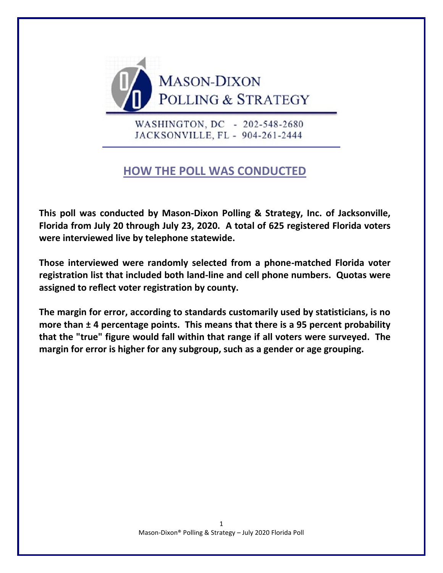

WASHINGTON, DC - 202-548-2680 JACKSONVILLE, FL - 904-261-2444

# **HOW THE POLL WAS CONDUCTED**

**This poll was conducted by Mason-Dixon Polling & Strategy, Inc. of Jacksonville, Florida from July 20 through July 23, 2020. A total of 625 registered Florida voters were interviewed live by telephone statewide.** 

**Those interviewed were randomly selected from a phone-matched Florida voter registration list that included both land-line and cell phone numbers. Quotas were assigned to reflect voter registration by county.**

**The margin for error, according to standards customarily used by statisticians, is no more than ± 4 percentage points. This means that there is a 95 percent probability that the "true" figure would fall within that range if all voters were surveyed. The margin for error is higher for any subgroup, such as a gender or age grouping.**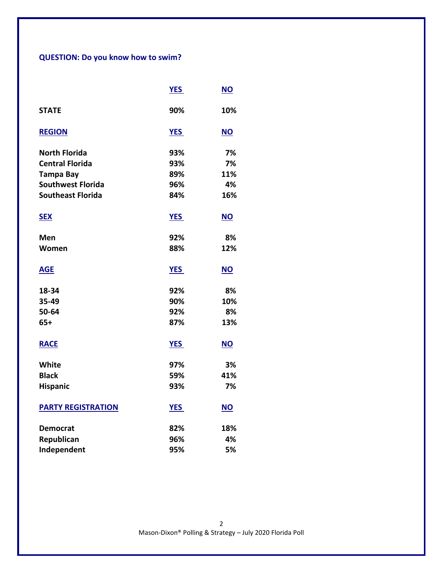# **QUESTION: Do you know how to swim?**

|                           | <b>YES</b> | <u>NO</u> |
|---------------------------|------------|-----------|
| <b>STATE</b>              | 90%        | 10%       |
| <b>REGION</b>             | <b>YES</b> | NO        |
| <b>North Florida</b>      | 93%        | 7%        |
| <b>Central Florida</b>    | 93%        | 7%        |
| <b>Tampa Bay</b>          | 89%        | 11%       |
| <b>Southwest Florida</b>  | 96%        | 4%        |
| <b>Southeast Florida</b>  | 84%        | 16%       |
| <b>SEX</b>                | <b>YES</b> | $NO$      |
| Men                       | 92%        | 8%        |
| Women                     | 88%        | 12%       |
| <b>AGE</b>                | <b>YES</b> | <b>NO</b> |
| 18-34                     | 92%        | 8%        |
| 35-49                     | 90%        | 10%       |
| 50-64                     | 92%        | 8%        |
| $65+$                     | 87%        | 13%       |
| <b>RACE</b>               | <b>YES</b> | <b>NO</b> |
| White                     | 97%        | 3%        |
| <b>Black</b>              | 59%        | 41%       |
| <b>Hispanic</b>           | 93%        | 7%        |
| <b>PARTY REGISTRATION</b> | <b>YES</b> | <b>NO</b> |
| <b>Democrat</b>           | 82%        | 18%       |
| Republican                | 96%        | 4%        |
| Independent               | 95%        | 5%        |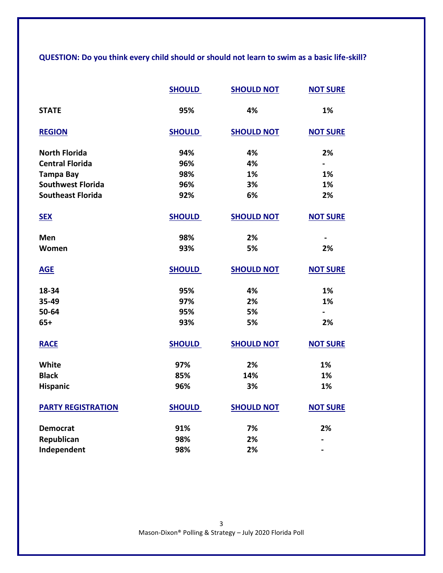**QUESTION: Do you think every child should or should not learn to swim as a basic life-skill?**

|                           | <b>SHOULD</b> | <b>SHOULD NOT</b> | <b>NOT SURE</b> |
|---------------------------|---------------|-------------------|-----------------|
| <b>STATE</b>              | 95%           | 4%                | 1%              |
| <b>REGION</b>             | <b>SHOULD</b> | <b>SHOULD NOT</b> | <b>NOT SURE</b> |
| <b>North Florida</b>      | 94%           | 4%                | 2%              |
| <b>Central Florida</b>    | 96%           | 4%                | $\blacksquare$  |
| <b>Tampa Bay</b>          | 98%           | 1%                | 1%              |
| <b>Southwest Florida</b>  | 96%           | 3%                | 1%              |
| <b>Southeast Florida</b>  | 92%           | 6%                | 2%              |
| <b>SEX</b>                | <b>SHOULD</b> | <b>SHOULD NOT</b> | <b>NOT SURE</b> |
| Men                       | 98%           | 2%                |                 |
| Women                     | 93%           | 5%                | 2%              |
| <b>AGE</b>                | <b>SHOULD</b> | <b>SHOULD NOT</b> | <b>NOT SURE</b> |
| 18-34                     | 95%           | 4%                | 1%              |
| 35-49                     | 97%           | 2%                | 1%              |
| 50-64                     | 95%           | 5%                | $\blacksquare$  |
| $65+$                     | 93%           | 5%                | 2%              |
| <b>RACE</b>               | <b>SHOULD</b> | <b>SHOULD NOT</b> | <b>NOT SURE</b> |
| White                     | 97%           | 2%                | 1%              |
| <b>Black</b>              | 85%           | 14%               | 1%              |
| Hispanic                  | 96%           | 3%                | 1%              |
| <b>PARTY REGISTRATION</b> | <b>SHOULD</b> | <b>SHOULD NOT</b> | <b>NOT SURE</b> |
| <b>Democrat</b>           | 91%           | 7%                | 2%              |
| Republican                | 98%           | 2%                |                 |
| Independent               | 98%           | 2%                |                 |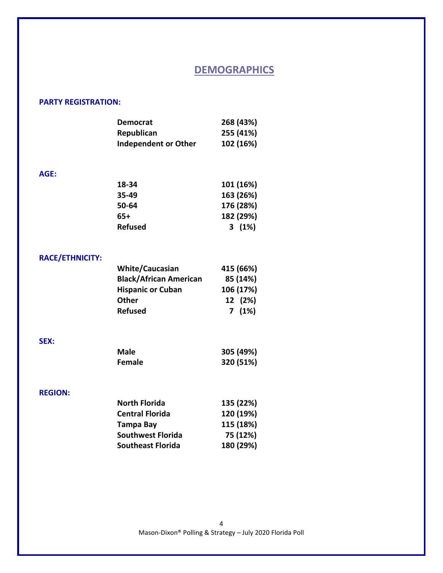## **DEMOGRAPHICS**

### **PARTY REGISTRATION:**

| <b>Democrat</b>             | 268 (43%) |
|-----------------------------|-----------|
| Republican                  | 255 (41%) |
| <b>Independent or Other</b> | 102 (16%) |

#### **AGE:**

| 18-34          | 101 (16%) |
|----------------|-----------|
| 35-49          | 163 (26%) |
| 50-64          | 176 (28%) |
| 65+            | 182 (29%) |
| <b>Refused</b> | $3(1\%)$  |

### **RACE/ETHNICITY:**

| <b>White/Caucasian</b>        | 415 (66%) |
|-------------------------------|-----------|
| <b>Black/African American</b> | 85 (14%)  |
| <b>Hispanic or Cuban</b>      | 106 (17%) |
| <b>Other</b>                  | 12 (2%)   |
| <b>Refused</b>                | 7(1%)     |

### **SEX:**

| Male   | 305 (49%) |
|--------|-----------|
| Female | 320 (51%) |

### **REGION:**

| 135 (22%) |
|-----------|
| 120 (19%) |
| 115 (18%) |
| 75 (12%)  |
| 180 (29%) |
|           |